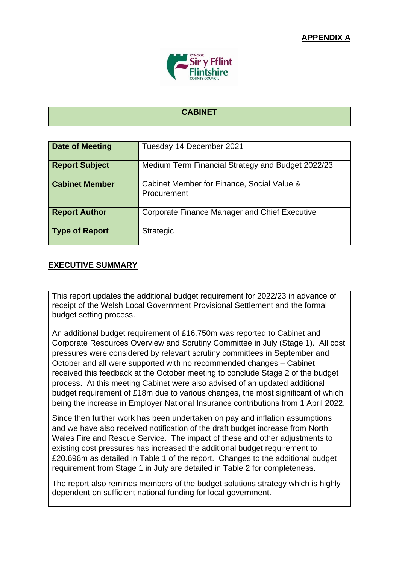

## **CABINET**

| <b>Date of Meeting</b> | Tuesday 14 December 2021                                  |
|------------------------|-----------------------------------------------------------|
| <b>Report Subject</b>  | Medium Term Financial Strategy and Budget 2022/23         |
| <b>Cabinet Member</b>  | Cabinet Member for Finance, Social Value &<br>Procurement |
| <b>Report Author</b>   | <b>Corporate Finance Manager and Chief Executive</b>      |
| <b>Type of Report</b>  | <b>Strategic</b>                                          |

## **EXECUTIVE SUMMARY**

This report updates the additional budget requirement for 2022/23 in advance of receipt of the Welsh Local Government Provisional Settlement and the formal budget setting process.

An additional budget requirement of £16.750m was reported to Cabinet and Corporate Resources Overview and Scrutiny Committee in July (Stage 1). All cost pressures were considered by relevant scrutiny committees in September and October and all were supported with no recommended changes – Cabinet received this feedback at the October meeting to conclude Stage 2 of the budget process. At this meeting Cabinet were also advised of an updated additional budget requirement of £18m due to various changes, the most significant of which being the increase in Employer National Insurance contributions from 1 April 2022.

Since then further work has been undertaken on pay and inflation assumptions and we have also received notification of the draft budget increase from North Wales Fire and Rescue Service. The impact of these and other adjustments to existing cost pressures has increased the additional budget requirement to £20.696m as detailed in Table 1 of the report. Changes to the additional budget requirement from Stage 1 in July are detailed in Table 2 for completeness.

The report also reminds members of the budget solutions strategy which is highly dependent on sufficient national funding for local government.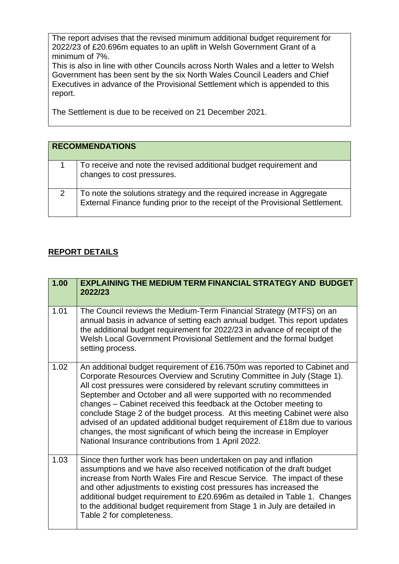The report advises that the revised minimum additional budget requirement for 2022/23 of £20.696m equates to an uplift in Welsh Government Grant of a minimum of 7%.

This is also in line with other Councils across North Wales and a letter to Welsh Government has been sent by the six North Wales Council Leaders and Chief Executives in advance of the Provisional Settlement which is appended to this report.

The Settlement is due to be received on 21 December 2021.

|   | <b>RECOMMENDATIONS</b>                                                                                                                                |
|---|-------------------------------------------------------------------------------------------------------------------------------------------------------|
|   | To receive and note the revised additional budget requirement and<br>changes to cost pressures.                                                       |
| 2 | To note the solutions strategy and the required increase in Aggregate<br>External Finance funding prior to the receipt of the Provisional Settlement. |

## **REPORT DETAILS**

| 1.00 | <b>EXPLAINING THE MEDIUM TERM FINANCIAL STRATEGY AND BUDGET</b><br>2022/23                                                                                                                                                                                                                                                                                                                                                                                                                                                                                                                                                                                       |
|------|------------------------------------------------------------------------------------------------------------------------------------------------------------------------------------------------------------------------------------------------------------------------------------------------------------------------------------------------------------------------------------------------------------------------------------------------------------------------------------------------------------------------------------------------------------------------------------------------------------------------------------------------------------------|
| 1.01 | The Council reviews the Medium-Term Financial Strategy (MTFS) on an<br>annual basis in advance of setting each annual budget. This report updates<br>the additional budget requirement for 2022/23 in advance of receipt of the<br>Welsh Local Government Provisional Settlement and the formal budget<br>setting process.                                                                                                                                                                                                                                                                                                                                       |
| 1.02 | An additional budget requirement of £16.750m was reported to Cabinet and<br>Corporate Resources Overview and Scrutiny Committee in July (Stage 1).<br>All cost pressures were considered by relevant scrutiny committees in<br>September and October and all were supported with no recommended<br>changes - Cabinet received this feedback at the October meeting to<br>conclude Stage 2 of the budget process. At this meeting Cabinet were also<br>advised of an updated additional budget requirement of £18m due to various<br>changes, the most significant of which being the increase in Employer<br>National Insurance contributions from 1 April 2022. |
| 1.03 | Since then further work has been undertaken on pay and inflation<br>assumptions and we have also received notification of the draft budget<br>increase from North Wales Fire and Rescue Service. The impact of these<br>and other adjustments to existing cost pressures has increased the<br>additional budget requirement to £20.696m as detailed in Table 1. Changes<br>to the additional budget requirement from Stage 1 in July are detailed in<br>Table 2 for completeness.                                                                                                                                                                                |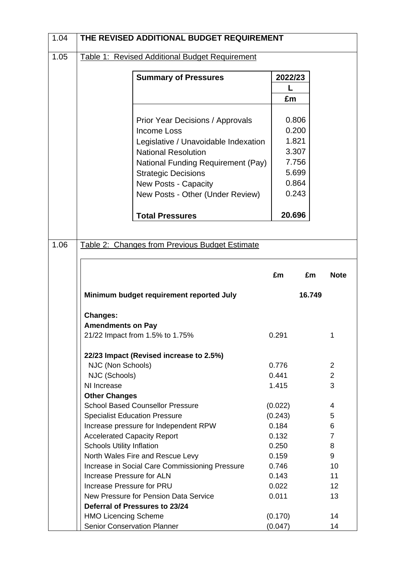| 1.05 | THE REVISED ADDITIONAL BUDGET REQUIREMENT                                      |                |                                  |
|------|--------------------------------------------------------------------------------|----------------|----------------------------------|
|      | Table 1: Revised Additional Budget Requirement                                 |                |                                  |
|      |                                                                                |                |                                  |
|      | <b>Summary of Pressures</b>                                                    | 2022/23        |                                  |
|      |                                                                                |                |                                  |
|      |                                                                                | £m             |                                  |
|      | <b>Prior Year Decisions / Approvals</b>                                        | 0.806          |                                  |
|      | <b>Income Loss</b>                                                             | 0.200          |                                  |
|      | Legislative / Unavoidable Indexation                                           | 1.821          |                                  |
|      | <b>National Resolution</b>                                                     | 3.307          |                                  |
|      | National Funding Requirement (Pay)                                             | 7.756          |                                  |
|      | <b>Strategic Decisions</b>                                                     | 5.699          |                                  |
|      | <b>New Posts - Capacity</b>                                                    | 0.864          |                                  |
|      | New Posts - Other (Under Review)                                               | 0.243          |                                  |
|      |                                                                                |                |                                  |
|      | <b>Total Pressures</b>                                                         | 20.696         |                                  |
|      |                                                                                |                |                                  |
|      |                                                                                |                |                                  |
| 1.06 | Table 2: Changes from Previous Budget Estimate                                 |                |                                  |
|      |                                                                                |                |                                  |
|      |                                                                                | £m             | £m<br><b>Note</b>                |
|      |                                                                                |                |                                  |
|      | Minimum budget requirement reported July                                       |                | 16.749                           |
|      |                                                                                |                |                                  |
|      |                                                                                |                |                                  |
|      |                                                                                |                |                                  |
|      |                                                                                |                |                                  |
|      |                                                                                |                | 1                                |
|      |                                                                                |                |                                  |
|      | 22/23 Impact (Revised increase to 2.5%)                                        |                |                                  |
|      | NJC (Non Schools)                                                              | 0.776<br>0.441 | $\overline{2}$<br>$\overline{2}$ |
|      | NJC (Schools)<br>NI Increase                                                   | 1.415          | 3                                |
|      | <b>Other Changes</b>                                                           |                |                                  |
|      | <b>School Based Counsellor Pressure</b>                                        | (0.022)        | 4                                |
|      | <b>Specialist Education Pressure</b>                                           | (0.243)        | 5                                |
|      | Increase pressure for Independent RPW                                          | 0.184          | 6                                |
|      | <b>Accelerated Capacity Report</b>                                             | 0.132          | $\overline{7}$                   |
|      | <b>Schools Utility Inflation</b>                                               | 0.250          | 8                                |
|      | North Wales Fire and Rescue Levy                                               | 0.159          | 9                                |
|      | Increase in Social Care Commissioning Pressure                                 | 0.746          | 10                               |
|      | Increase Pressure for ALN                                                      | 0.143          | 11                               |
|      | Increase Pressure for PRU                                                      | 0.022          | 12 <sup>°</sup>                  |
|      | New Pressure for Pension Data Service                                          | 0.011          | 13                               |
|      | Deferral of Pressures to 23/24<br><b>HMO Licencing Scheme</b>                  | (0.170)        | 14                               |
|      | <b>Changes:</b><br><b>Amendments on Pay</b><br>21/22 Impact from 1.5% to 1.75% | 0.291          |                                  |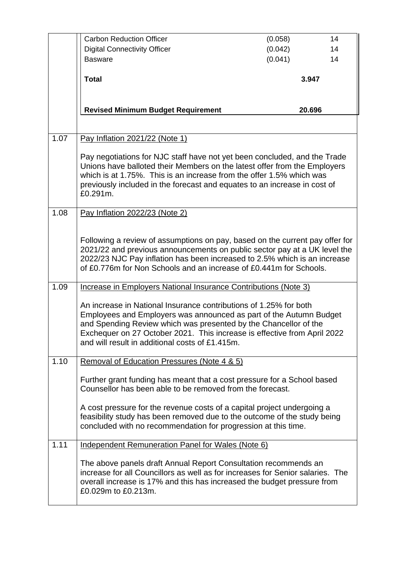|      | <b>Carbon Reduction Officer</b>                                                                                                                                                                                                                                                                                                            | (0.058) | 14 |
|------|--------------------------------------------------------------------------------------------------------------------------------------------------------------------------------------------------------------------------------------------------------------------------------------------------------------------------------------------|---------|----|
|      | <b>Digital Connectivity Officer</b>                                                                                                                                                                                                                                                                                                        | (0.042) | 14 |
|      | <b>Basware</b>                                                                                                                                                                                                                                                                                                                             | (0.041) | 14 |
|      | <b>Total</b>                                                                                                                                                                                                                                                                                                                               | 3.947   |    |
|      | <b>Revised Minimum Budget Requirement</b>                                                                                                                                                                                                                                                                                                  | 20.696  |    |
| 1.07 | Pay Inflation 2021/22 (Note 1)                                                                                                                                                                                                                                                                                                             |         |    |
|      | Pay negotiations for NJC staff have not yet been concluded, and the Trade<br>Unions have balloted their Members on the latest offer from the Employers<br>which is at 1.75%. This is an increase from the offer 1.5% which was<br>previously included in the forecast and equates to an increase in cost of<br>£0.291m.                    |         |    |
| 1.08 | Pay Inflation 2022/23 (Note 2)                                                                                                                                                                                                                                                                                                             |         |    |
|      | Following a review of assumptions on pay, based on the current pay offer for<br>2021/22 and previous announcements on public sector pay at a UK level the<br>2022/23 NJC Pay inflation has been increased to 2.5% which is an increase<br>of £0.776m for Non Schools and an increase of £0.441m for Schools.                               |         |    |
| 1.09 | Increase in Employers National Insurance Contributions (Note 3)                                                                                                                                                                                                                                                                            |         |    |
|      | An increase in National Insurance contributions of 1.25% for both<br>Employees and Employers was announced as part of the Autumn Budget<br>and Spending Review which was presented by the Chancellor of the<br>Exchequer on 27 October 2021. This increase is effective from April 2022<br>and will result in additional costs of £1.415m. |         |    |
| 1.10 | Removal of Education Pressures (Note 4 & 5)                                                                                                                                                                                                                                                                                                |         |    |
|      | Further grant funding has meant that a cost pressure for a School based<br>Counsellor has been able to be removed from the forecast.                                                                                                                                                                                                       |         |    |
|      | A cost pressure for the revenue costs of a capital project undergoing a<br>feasibility study has been removed due to the outcome of the study being<br>concluded with no recommendation for progression at this time.                                                                                                                      |         |    |
| 1.11 | Independent Remuneration Panel for Wales (Note 6)                                                                                                                                                                                                                                                                                          |         |    |
|      | The above panels draft Annual Report Consultation recommends an<br>increase for all Councillors as well as for increases for Senior salaries. The<br>overall increase is 17% and this has increased the budget pressure from<br>£0.029m to £0.213m.                                                                                        |         |    |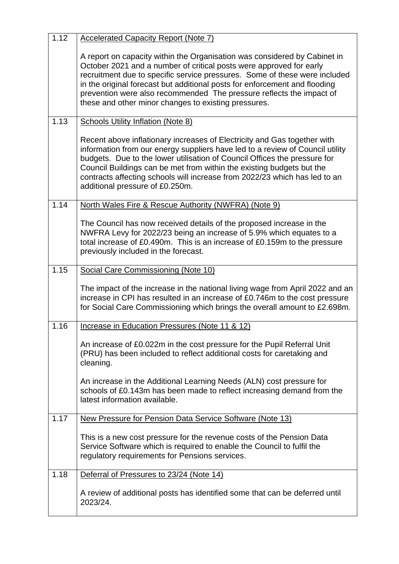| 1.12 | <b>Accelerated Capacity Report (Note 7)</b>                                                                                                                                                                                                                                                                                                                                                                                                  |
|------|----------------------------------------------------------------------------------------------------------------------------------------------------------------------------------------------------------------------------------------------------------------------------------------------------------------------------------------------------------------------------------------------------------------------------------------------|
|      | A report on capacity within the Organisation was considered by Cabinet in<br>October 2021 and a number of critical posts were approved for early<br>recruitment due to specific service pressures. Some of these were included<br>in the original forecast but additional posts for enforcement and flooding<br>prevention were also recommended The pressure reflects the impact of<br>these and other minor changes to existing pressures. |
| 1.13 | <b>Schools Utility Inflation (Note 8)</b>                                                                                                                                                                                                                                                                                                                                                                                                    |
|      | Recent above inflationary increases of Electricity and Gas together with<br>information from our energy suppliers have led to a review of Council utility<br>budgets. Due to the lower utilisation of Council Offices the pressure for<br>Council Buildings can be met from within the existing budgets but the<br>contracts affecting schools will increase from 2022/23 which has led to an<br>additional pressure of £0.250m.             |
| 1.14 | North Wales Fire & Rescue Authority (NWFRA) (Note 9)                                                                                                                                                                                                                                                                                                                                                                                         |
|      | The Council has now received details of the proposed increase in the<br>NWFRA Levy for 2022/23 being an increase of 5.9% which equates to a<br>total increase of £0.490m. This is an increase of £0.159m to the pressure<br>previously included in the forecast.                                                                                                                                                                             |
| 1.15 | Social Care Commissioning (Note 10)                                                                                                                                                                                                                                                                                                                                                                                                          |
|      | The impact of the increase in the national living wage from April 2022 and an<br>increase in CPI has resulted in an increase of £0.746m to the cost pressure<br>for Social Care Commissioning which brings the overall amount to £2.698m.                                                                                                                                                                                                    |
| 1.16 | Increase in Education Pressures (Note 11 & 12)                                                                                                                                                                                                                                                                                                                                                                                               |
|      | An increase of £0.022m in the cost pressure for the Pupil Referral Unit<br>(PRU) has been included to reflect additional costs for caretaking and<br>cleaning.                                                                                                                                                                                                                                                                               |
|      | An increase in the Additional Learning Needs (ALN) cost pressure for<br>schools of £0.143m has been made to reflect increasing demand from the<br>latest information available.                                                                                                                                                                                                                                                              |
| 1.17 | New Pressure for Pension Data Service Software (Note 13)                                                                                                                                                                                                                                                                                                                                                                                     |
|      | This is a new cost pressure for the revenue costs of the Pension Data<br>Service Software which is required to enable the Council to fulfil the<br>regulatory requirements for Pensions services.                                                                                                                                                                                                                                            |
| 1.18 | Deferral of Pressures to 23/24 (Note 14)                                                                                                                                                                                                                                                                                                                                                                                                     |
|      | A review of additional posts has identified some that can be deferred until<br>2023/24.                                                                                                                                                                                                                                                                                                                                                      |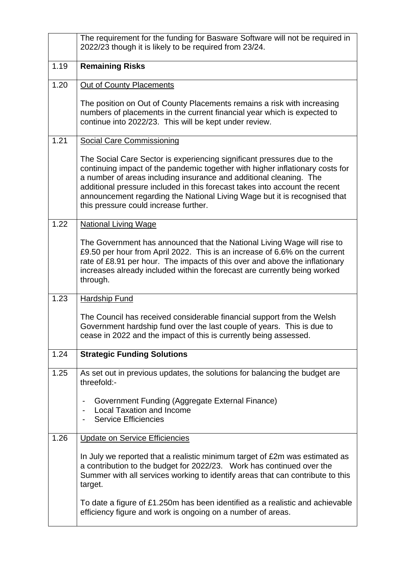|      | The requirement for the funding for Basware Software will not be required in<br>2022/23 though it is likely to be required from 23/24.                                                                                                                                                                                                                                                                                              |
|------|-------------------------------------------------------------------------------------------------------------------------------------------------------------------------------------------------------------------------------------------------------------------------------------------------------------------------------------------------------------------------------------------------------------------------------------|
| 1.19 | <b>Remaining Risks</b>                                                                                                                                                                                                                                                                                                                                                                                                              |
| 1.20 | Out of County Placements                                                                                                                                                                                                                                                                                                                                                                                                            |
|      | The position on Out of County Placements remains a risk with increasing<br>numbers of placements in the current financial year which is expected to<br>continue into 2022/23. This will be kept under review.                                                                                                                                                                                                                       |
| 1.21 | <b>Social Care Commissioning</b>                                                                                                                                                                                                                                                                                                                                                                                                    |
|      | The Social Care Sector is experiencing significant pressures due to the<br>continuing impact of the pandemic together with higher inflationary costs for<br>a number of areas including insurance and additional cleaning. The<br>additional pressure included in this forecast takes into account the recent<br>announcement regarding the National Living Wage but it is recognised that<br>this pressure could increase further. |
| 1.22 | <b>National Living Wage</b>                                                                                                                                                                                                                                                                                                                                                                                                         |
|      | The Government has announced that the National Living Wage will rise to<br>£9.50 per hour from April 2022. This is an increase of 6.6% on the current<br>rate of £8.91 per hour. The impacts of this over and above the inflationary<br>increases already included within the forecast are currently being worked<br>through.                                                                                                       |
| 1.23 | <b>Hardship Fund</b>                                                                                                                                                                                                                                                                                                                                                                                                                |
|      | The Council has received considerable financial support from the Welsh<br>Government hardship fund over the last couple of years. This is due to<br>cease in 2022 and the impact of this is currently being assessed.                                                                                                                                                                                                               |
| 1.24 | <b>Strategic Funding Solutions</b>                                                                                                                                                                                                                                                                                                                                                                                                  |
| 1.25 | As set out in previous updates, the solutions for balancing the budget are<br>threefold:-                                                                                                                                                                                                                                                                                                                                           |
|      | Government Funding (Aggregate External Finance)<br>$\overline{\phantom{0}}$<br><b>Local Taxation and Income</b><br><b>Service Efficiencies</b>                                                                                                                                                                                                                                                                                      |
| 1.26 | Update on Service Efficiencies                                                                                                                                                                                                                                                                                                                                                                                                      |
|      | In July we reported that a realistic minimum target of £2m was estimated as<br>a contribution to the budget for 2022/23. Work has continued over the<br>Summer with all services working to identify areas that can contribute to this<br>target.                                                                                                                                                                                   |
|      | To date a figure of £1.250m has been identified as a realistic and achievable<br>efficiency figure and work is ongoing on a number of areas.                                                                                                                                                                                                                                                                                        |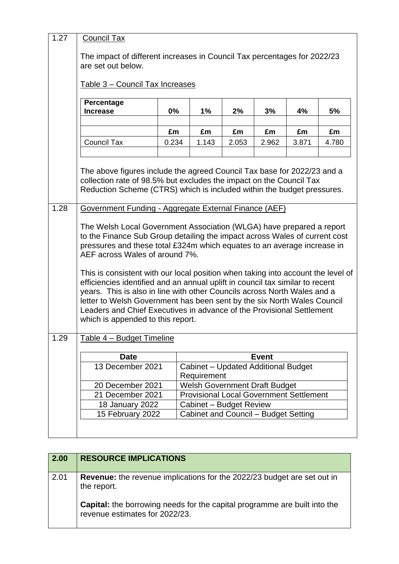| 1.27 | <b>Council Tax</b>                                                                                                                                                                                                                                                                                                                                  |       |                                                    |       |              |       |       |
|------|-----------------------------------------------------------------------------------------------------------------------------------------------------------------------------------------------------------------------------------------------------------------------------------------------------------------------------------------------------|-------|----------------------------------------------------|-------|--------------|-------|-------|
|      | The impact of different increases in Council Tax percentages for 2022/23<br>are set out below.                                                                                                                                                                                                                                                      |       |                                                    |       |              |       |       |
|      | Table 3 - Council Tax Increases                                                                                                                                                                                                                                                                                                                     |       |                                                    |       |              |       |       |
|      | Percentage<br><b>Increase</b>                                                                                                                                                                                                                                                                                                                       | 0%    | 1%                                                 | 2%    | 3%           | 4%    | 5%    |
|      |                                                                                                                                                                                                                                                                                                                                                     | £m    | £m                                                 | £m    | £m           | £m    | £m    |
|      | <b>Council Tax</b>                                                                                                                                                                                                                                                                                                                                  | 0.234 | 1.143                                              | 2.053 | 2.962        | 3.871 | 4.780 |
|      | The above figures include the agreed Council Tax base for 2022/23 and a<br>collection rate of 98.5% but excludes the impact on the Council Tax<br>Reduction Scheme (CTRS) which is included within the budget pressures.                                                                                                                            |       |                                                    |       |              |       |       |
| 1.28 | Government Funding - Aggregate External Finance (AEF)                                                                                                                                                                                                                                                                                               |       |                                                    |       |              |       |       |
|      | The Welsh Local Government Association (WLGA) have prepared a report<br>to the Finance Sub Group detailing the impact across Wales of current cost<br>pressures and these total £324m which equates to an average increase in<br>AEF across Wales of around 7%.<br>This is consistent with our local position when taking into account the level of |       |                                                    |       |              |       |       |
|      | efficiencies identified and an annual uplift in council tax similar to recent<br>years. This is also in line with other Councils across North Wales and a<br>letter to Welsh Government has been sent by the six North Wales Council<br>Leaders and Chief Executives in advance of the Provisional Settlement<br>which is appended to this report.  |       |                                                    |       |              |       |       |
| 1.29 | Table 4 - Budget Timeline                                                                                                                                                                                                                                                                                                                           |       |                                                    |       |              |       |       |
|      | <b>Date</b>                                                                                                                                                                                                                                                                                                                                         |       |                                                    |       | <b>Event</b> |       |       |
|      | 13 December 2021                                                                                                                                                                                                                                                                                                                                    |       | Cabinet - Updated Additional Budget<br>Requirement |       |              |       |       |
|      | 20 December 2021                                                                                                                                                                                                                                                                                                                                    |       | <b>Welsh Government Draft Budget</b>               |       |              |       |       |
|      | 21 December 2021                                                                                                                                                                                                                                                                                                                                    |       | <b>Provisional Local Government Settlement</b>     |       |              |       |       |
|      | 18 January 2022                                                                                                                                                                                                                                                                                                                                     |       | Cabinet - Budget Review                            |       |              |       |       |
|      | 15 February 2022                                                                                                                                                                                                                                                                                                                                    |       | <b>Cabinet and Council - Budget Setting</b>        |       |              |       |       |
|      |                                                                                                                                                                                                                                                                                                                                                     |       |                                                    |       |              |       |       |

| 2.00 | <b>RESOURCE IMPLICATIONS</b>                                                                                |
|------|-------------------------------------------------------------------------------------------------------------|
| 2.01 | <b>Revenue:</b> the revenue implications for the 2022/23 budget are set out in<br>the report.               |
|      | Capital: the borrowing needs for the capital programme are built into the<br>revenue estimates for 2022/23. |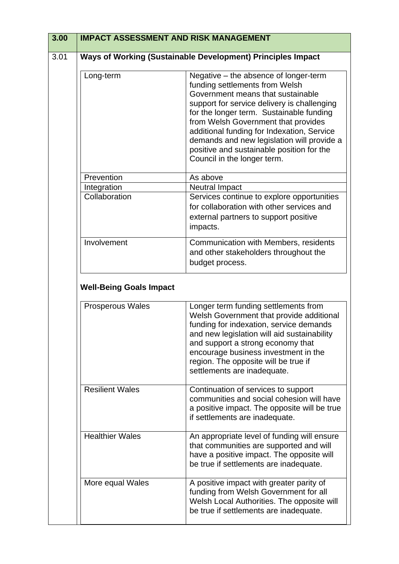| 3.00 | <b>IMPACT ASSESSMENT AND RISK MANAGEMENT</b> |                                                                                                                                                                                                                                                                                                                                                                                                                        |
|------|----------------------------------------------|------------------------------------------------------------------------------------------------------------------------------------------------------------------------------------------------------------------------------------------------------------------------------------------------------------------------------------------------------------------------------------------------------------------------|
| 3.01 |                                              | Ways of Working (Sustainable Development) Principles Impact                                                                                                                                                                                                                                                                                                                                                            |
|      | Long-term                                    | Negative - the absence of longer-term<br>funding settlements from Welsh<br>Government means that sustainable<br>support for service delivery is challenging<br>for the longer term. Sustainable funding<br>from Welsh Government that provides<br>additional funding for Indexation, Service<br>demands and new legislation will provide a<br>positive and sustainable position for the<br>Council in the longer term. |
|      | Prevention                                   | As above                                                                                                                                                                                                                                                                                                                                                                                                               |
|      | Integration                                  | <b>Neutral Impact</b>                                                                                                                                                                                                                                                                                                                                                                                                  |
|      | Collaboration                                | Services continue to explore opportunities<br>for collaboration with other services and<br>external partners to support positive<br>impacts.                                                                                                                                                                                                                                                                           |
|      | Involvement                                  | Communication with Members, residents<br>and other stakeholders throughout the<br>budget process.                                                                                                                                                                                                                                                                                                                      |
|      | <b>Well-Being Goals Impact</b>               |                                                                                                                                                                                                                                                                                                                                                                                                                        |
|      | <b>Prosperous Wales</b>                      | Longer term funding settlements from<br>Welsh Government that provide additional<br>funding for indexation, service demands<br>and new legislation will aid sustainability<br>and support a strong economy that<br>encourage business investment in the<br>region. The opposite will be true if<br>settlements are inadequate.                                                                                         |
|      | <b>Resilient Wales</b>                       | Continuation of services to support<br>communities and social cohesion will have<br>a positive impact. The opposite will be true<br>if settlements are inadequate.                                                                                                                                                                                                                                                     |
|      | <b>Healthier Wales</b>                       | An appropriate level of funding will ensure<br>that communities are supported and will<br>have a positive impact. The opposite will<br>be true if settlements are inadequate.                                                                                                                                                                                                                                          |
|      | More equal Wales                             | A positive impact with greater parity of<br>funding from Welsh Government for all<br>Welsh Local Authorities. The opposite will<br>be true if settlements are inadequate.                                                                                                                                                                                                                                              |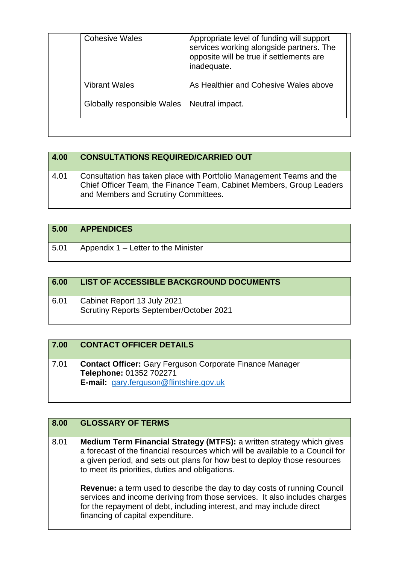| <b>Cohesive Wales</b>      | Appropriate level of funding will support<br>services working alongside partners. The<br>opposite will be true if settlements are<br>inadequate. |
|----------------------------|--------------------------------------------------------------------------------------------------------------------------------------------------|
| <b>Vibrant Wales</b>       | As Healthier and Cohesive Wales above                                                                                                            |
| Globally responsible Wales | Neutral impact.                                                                                                                                  |
|                            |                                                                                                                                                  |

| 4.00 | <b>CONSULTATIONS REQUIRED/CARRIED OUT</b>                                                                                                                                            |
|------|--------------------------------------------------------------------------------------------------------------------------------------------------------------------------------------|
| 4.01 | Consultation has taken place with Portfolio Management Teams and the<br>Chief Officer Team, the Finance Team, Cabinet Members, Group Leaders<br>and Members and Scrutiny Committees. |

| 5.00 | <b>APPENDICES</b>                   |
|------|-------------------------------------|
| 5.01 | Appendix 1 – Letter to the Minister |

| 6.00 | LIST OF ACCESSIBLE BACKGROUND DOCUMENTS                                |
|------|------------------------------------------------------------------------|
| 6.01 | Cabinet Report 13 July 2021<br>Scrutiny Reports September/October 2021 |

| 7.00 | <b>CONTACT OFFICER DETAILS</b>                                                                                                               |
|------|----------------------------------------------------------------------------------------------------------------------------------------------|
| 7.01 | <b>Contact Officer:</b> Gary Ferguson Corporate Finance Manager<br>Telephone: 01352 702271<br><b>E-mail:</b> gary.ferguson@flintshire.gov.uk |

| 8.00 | <b>GLOSSARY OF TERMS</b>                                                                                                                                                                                                                                                                |
|------|-----------------------------------------------------------------------------------------------------------------------------------------------------------------------------------------------------------------------------------------------------------------------------------------|
| 8.01 | Medium Term Financial Strategy (MTFS): a written strategy which gives<br>a forecast of the financial resources which will be available to a Council for<br>a given period, and sets out plans for how best to deploy those resources<br>to meet its priorities, duties and obligations. |
|      | <b>Revenue:</b> a term used to describe the day to day costs of running Council<br>services and income deriving from those services. It also includes charges<br>for the repayment of debt, including interest, and may include direct<br>financing of capital expenditure.             |